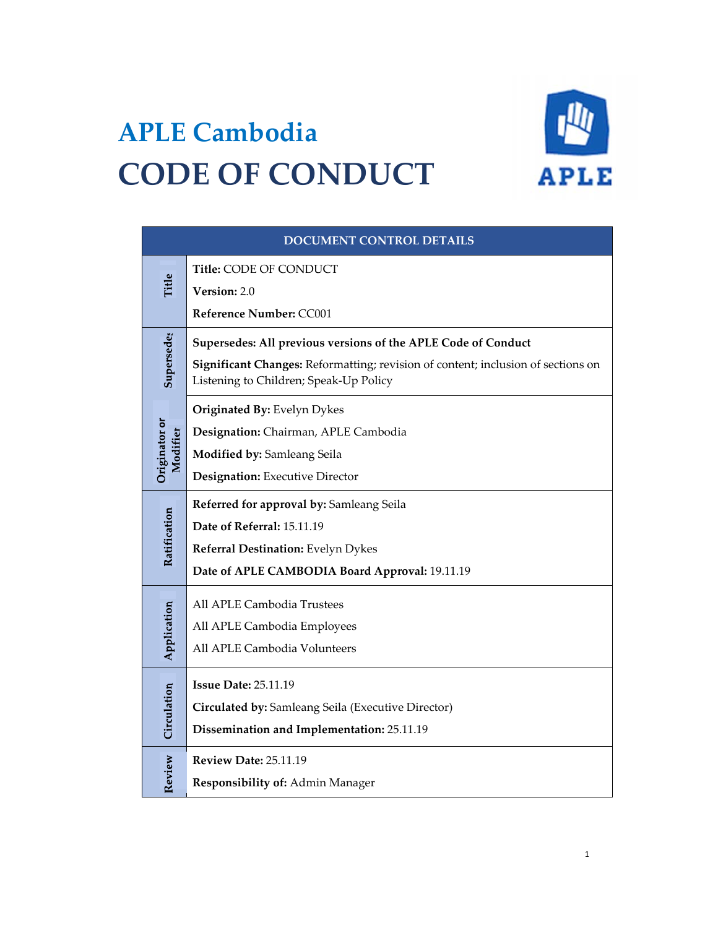

# **APLE Cambodia CODE OF CONDUCT**

| DOCUMENT CONTROL DETAILS  |                                                                                                                                                                                             |
|---------------------------|---------------------------------------------------------------------------------------------------------------------------------------------------------------------------------------------|
| Title                     | Title: CODE OF CONDUCT                                                                                                                                                                      |
|                           | Version: 2.0<br>Reference Number: CC001                                                                                                                                                     |
| Supersede                 | Supersedes: All previous versions of the APLE Code of Conduct<br>Significant Changes: Reformatting; revision of content; inclusion of sections on<br>Listening to Children; Speak-Up Policy |
| Originator or<br>Modifier | Originated By: Evelyn Dykes<br>Designation: Chairman, APLE Cambodia<br>Modified by: Samleang Seila<br><b>Designation:</b> Executive Director                                                |
| Ratification              | Referred for approval by: Samleang Seila<br>Date of Referral: 15.11.19<br>Referral Destination: Evelyn Dykes<br>Date of APLE CAMBODIA Board Approval: 19.11.19                              |
| Application               | All APLE Cambodia Trustees<br>All APLE Cambodia Employees<br>All APLE Cambodia Volunteers                                                                                                   |
| Circulation               | <b>Issue Date: 25.11.19</b><br>Circulated by: Samleang Seila (Executive Director)<br>Dissemination and Implementation: 25.11.19                                                             |
| Review                    | <b>Review Date: 25.11.19</b><br>Responsibility of: Admin Manager                                                                                                                            |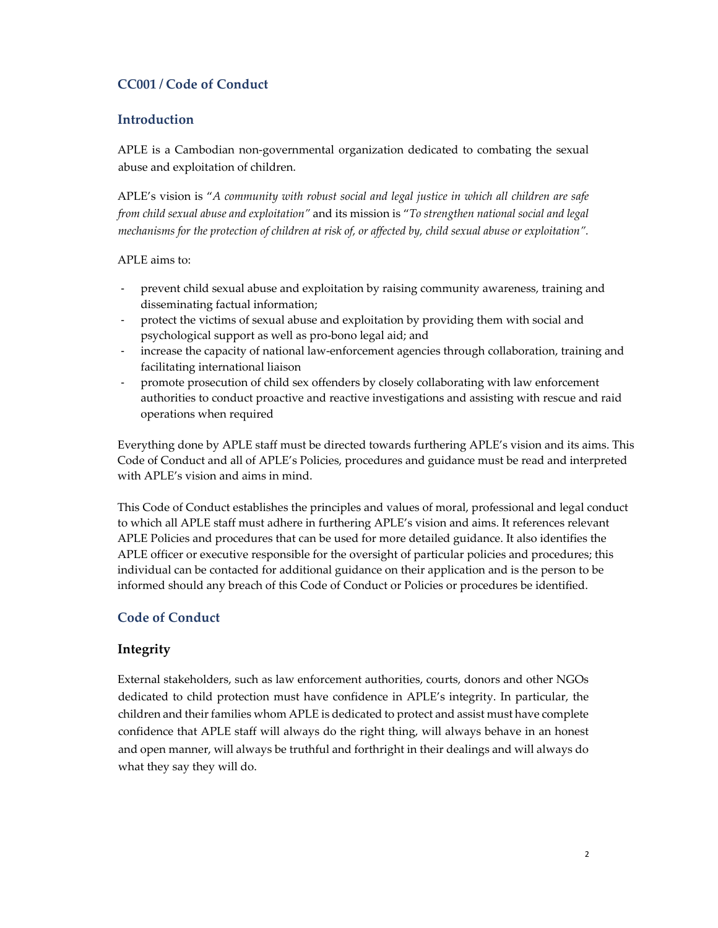# **CC001 / Code of Conduct**

## **Introduction**

APLE is a Cambodian non-governmental organization dedicated to combating the sexual abuse and exploitation of children.

APLE's vision is "*A community with robust social and legal justice in which all children are safe from child sexual abuse and exploitation"* and its mission is "*To strengthen national social and legal mechanisms for the protection of children at risk of, or affected by, child sexual abuse or exploitation".* 

APLE aims to:

- ‐ prevent child sexual abuse and exploitation by raising community awareness, training and disseminating factual information;
- ‐ protect the victims of sexual abuse and exploitation by providing them with social and psychological support as well as pro-bono legal aid; and
- increase the capacity of national law-enforcement agencies through collaboration, training and facilitating international liaison
- ‐ promote prosecution of child sex offenders by closely collaborating with law enforcement authorities to conduct proactive and reactive investigations and assisting with rescue and raid operations when required

Everything done by APLE staff must be directed towards furthering APLE's vision and its aims. This Code of Conduct and all of APLE's Policies, procedures and guidance must be read and interpreted with APLE's vision and aims in mind.

This Code of Conduct establishes the principles and values of moral, professional and legal conduct to which all APLE staff must adhere in furthering APLE's vision and aims. It references relevant APLE Policies and procedures that can be used for more detailed guidance. It also identifies the APLE officer or executive responsible for the oversight of particular policies and procedures; this individual can be contacted for additional guidance on their application and is the person to be informed should any breach of this Code of Conduct or Policies or procedures be identified.

# **Code of Conduct**

## **Integrity**

External stakeholders, such as law enforcement authorities, courts, donors and other NGOs dedicated to child protection must have confidence in APLE's integrity. In particular, the children and their families whom APLE is dedicated to protect and assist must have complete confidence that APLE staff will always do the right thing, will always behave in an honest and open manner, will always be truthful and forthright in their dealings and will always do what they say they will do.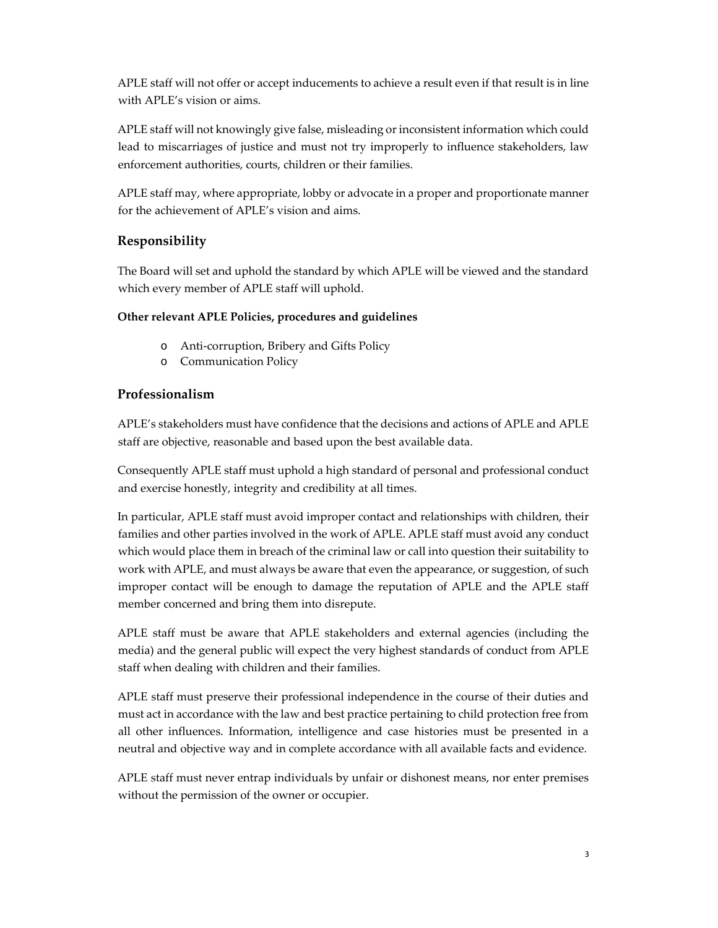APLE staff will not offer or accept inducements to achieve a result even if that result is in line with APLE's vision or aims.

APLE staff will not knowingly give false, misleading or inconsistent information which could lead to miscarriages of justice and must not try improperly to influence stakeholders, law enforcement authorities, courts, children or their families.

APLE staff may, where appropriate, lobby or advocate in a proper and proportionate manner for the achievement of APLE's vision and aims.

# **Responsibility**

The Board will set and uphold the standard by which APLE will be viewed and the standard which every member of APLE staff will uphold.

#### **Other relevant APLE Policies, procedures and guidelines**

- o Anti-corruption, Bribery and Gifts Policy
- o Communication Policy

## **Professionalism**

APLE's stakeholders must have confidence that the decisions and actions of APLE and APLE staff are objective, reasonable and based upon the best available data.

Consequently APLE staff must uphold a high standard of personal and professional conduct and exercise honestly, integrity and credibility at all times.

In particular, APLE staff must avoid improper contact and relationships with children, their families and other parties involved in the work of APLE. APLE staff must avoid any conduct which would place them in breach of the criminal law or call into question their suitability to work with APLE, and must always be aware that even the appearance, or suggestion, of such improper contact will be enough to damage the reputation of APLE and the APLE staff member concerned and bring them into disrepute.

APLE staff must be aware that APLE stakeholders and external agencies (including the media) and the general public will expect the very highest standards of conduct from APLE staff when dealing with children and their families.

APLE staff must preserve their professional independence in the course of their duties and must act in accordance with the law and best practice pertaining to child protection free from all other influences. Information, intelligence and case histories must be presented in a neutral and objective way and in complete accordance with all available facts and evidence.

APLE staff must never entrap individuals by unfair or dishonest means, nor enter premises without the permission of the owner or occupier.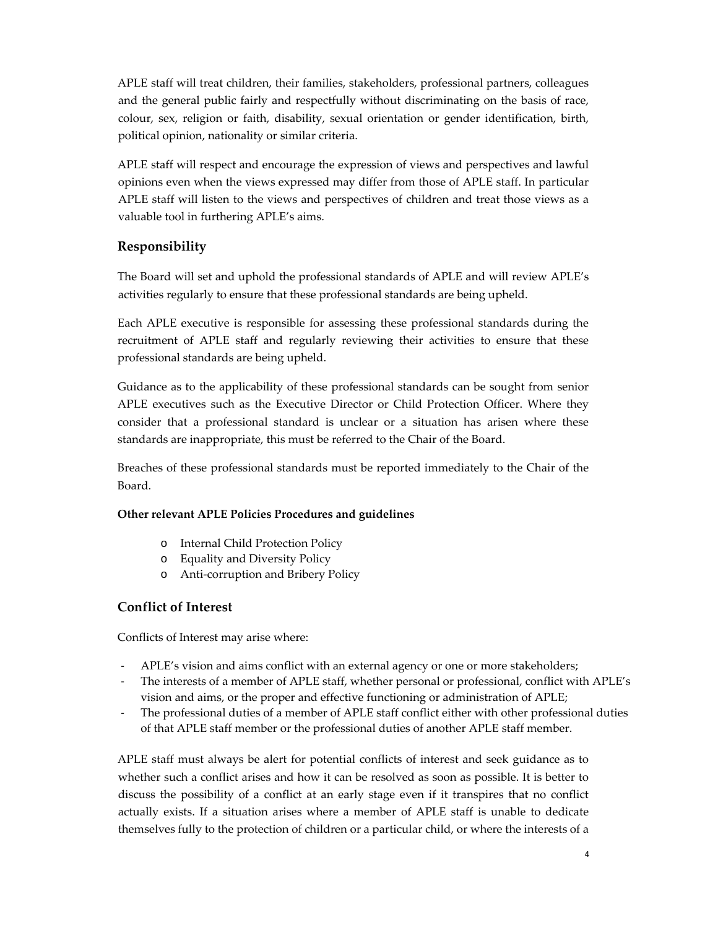APLE staff will treat children, their families, stakeholders, professional partners, colleagues and the general public fairly and respectfully without discriminating on the basis of race, colour, sex, religion or faith, disability, sexual orientation or gender identification, birth, political opinion, nationality or similar criteria.

APLE staff will respect and encourage the expression of views and perspectives and lawful opinions even when the views expressed may differ from those of APLE staff. In particular APLE staff will listen to the views and perspectives of children and treat those views as a valuable tool in furthering APLE's aims.

# **Responsibility**

The Board will set and uphold the professional standards of APLE and will review APLE's activities regularly to ensure that these professional standards are being upheld.

Each APLE executive is responsible for assessing these professional standards during the recruitment of APLE staff and regularly reviewing their activities to ensure that these professional standards are being upheld.

Guidance as to the applicability of these professional standards can be sought from senior APLE executives such as the Executive Director or Child Protection Officer. Where they consider that a professional standard is unclear or a situation has arisen where these standards are inappropriate, this must be referred to the Chair of the Board.

Breaches of these professional standards must be reported immediately to the Chair of the Board.

#### **Other relevant APLE Policies Procedures and guidelines**

- o Internal Child Protection Policy
- o Equality and Diversity Policy
- o Anti-corruption and Bribery Policy

#### **Conflict of Interest**

Conflicts of Interest may arise where:

- ‐ APLE's vision and aims conflict with an external agency or one or more stakeholders;
- The interests of a member of APLE staff, whether personal or professional, conflict with APLE's vision and aims, or the proper and effective functioning or administration of APLE;
- The professional duties of a member of APLE staff conflict either with other professional duties of that APLE staff member or the professional duties of another APLE staff member.

APLE staff must always be alert for potential conflicts of interest and seek guidance as to whether such a conflict arises and how it can be resolved as soon as possible. It is better to discuss the possibility of a conflict at an early stage even if it transpires that no conflict actually exists. If a situation arises where a member of APLE staff is unable to dedicate themselves fully to the protection of children or a particular child, or where the interests of a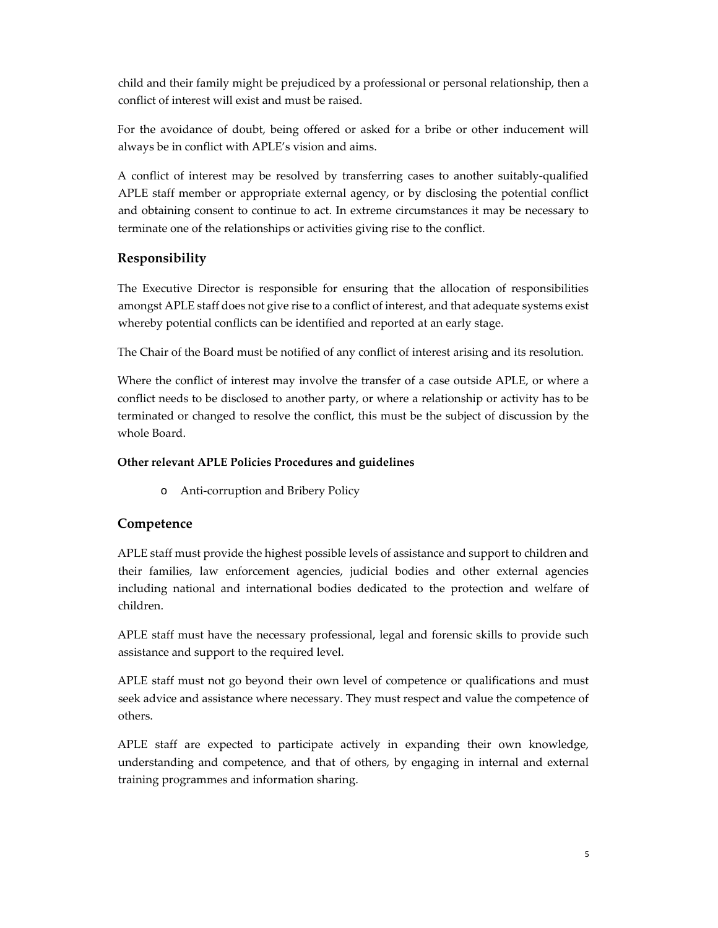child and their family might be prejudiced by a professional or personal relationship, then a conflict of interest will exist and must be raised.

For the avoidance of doubt, being offered or asked for a bribe or other inducement will always be in conflict with APLE's vision and aims.

A conflict of interest may be resolved by transferring cases to another suitably-qualified APLE staff member or appropriate external agency, or by disclosing the potential conflict and obtaining consent to continue to act. In extreme circumstances it may be necessary to terminate one of the relationships or activities giving rise to the conflict.

# **Responsibility**

The Executive Director is responsible for ensuring that the allocation of responsibilities amongst APLE staff does not give rise to a conflict of interest, and that adequate systems exist whereby potential conflicts can be identified and reported at an early stage.

The Chair of the Board must be notified of any conflict of interest arising and its resolution.

Where the conflict of interest may involve the transfer of a case outside APLE, or where a conflict needs to be disclosed to another party, or where a relationship or activity has to be terminated or changed to resolve the conflict, this must be the subject of discussion by the whole Board.

#### **Other relevant APLE Policies Procedures and guidelines**

o Anti-corruption and Bribery Policy

#### **Competence**

APLE staff must provide the highest possible levels of assistance and support to children and their families, law enforcement agencies, judicial bodies and other external agencies including national and international bodies dedicated to the protection and welfare of children.

APLE staff must have the necessary professional, legal and forensic skills to provide such assistance and support to the required level.

APLE staff must not go beyond their own level of competence or qualifications and must seek advice and assistance where necessary. They must respect and value the competence of others.

APLE staff are expected to participate actively in expanding their own knowledge, understanding and competence, and that of others, by engaging in internal and external training programmes and information sharing.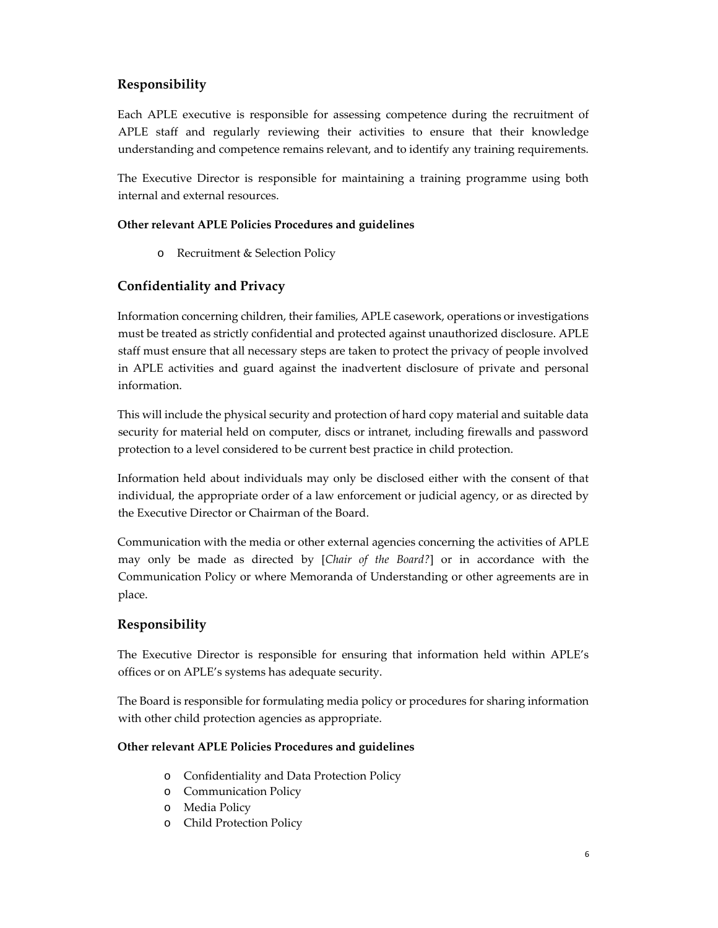# **Responsibility**

Each APLE executive is responsible for assessing competence during the recruitment of APLE staff and regularly reviewing their activities to ensure that their knowledge understanding and competence remains relevant, and to identify any training requirements.

The Executive Director is responsible for maintaining a training programme using both internal and external resources.

#### **Other relevant APLE Policies Procedures and guidelines**

o Recruitment & Selection Policy

#### **Confidentiality and Privacy**

Information concerning children, their families, APLE casework, operations or investigations must be treated as strictly confidential and protected against unauthorized disclosure. APLE staff must ensure that all necessary steps are taken to protect the privacy of people involved in APLE activities and guard against the inadvertent disclosure of private and personal information.

This will include the physical security and protection of hard copy material and suitable data security for material held on computer, discs or intranet, including firewalls and password protection to a level considered to be current best practice in child protection.

Information held about individuals may only be disclosed either with the consent of that individual, the appropriate order of a law enforcement or judicial agency, or as directed by the Executive Director or Chairman of the Board.

Communication with the media or other external agencies concerning the activities of APLE may only be made as directed by [*Chair of the Board?*] or in accordance with the Communication Policy or where Memoranda of Understanding or other agreements are in place.

## **Responsibility**

The Executive Director is responsible for ensuring that information held within APLE's offices or on APLE's systems has adequate security.

The Board is responsible for formulating media policy or procedures for sharing information with other child protection agencies as appropriate.

#### **Other relevant APLE Policies Procedures and guidelines**

- o Confidentiality and Data Protection Policy
- o Communication Policy
- o Media Policy
- o Child Protection Policy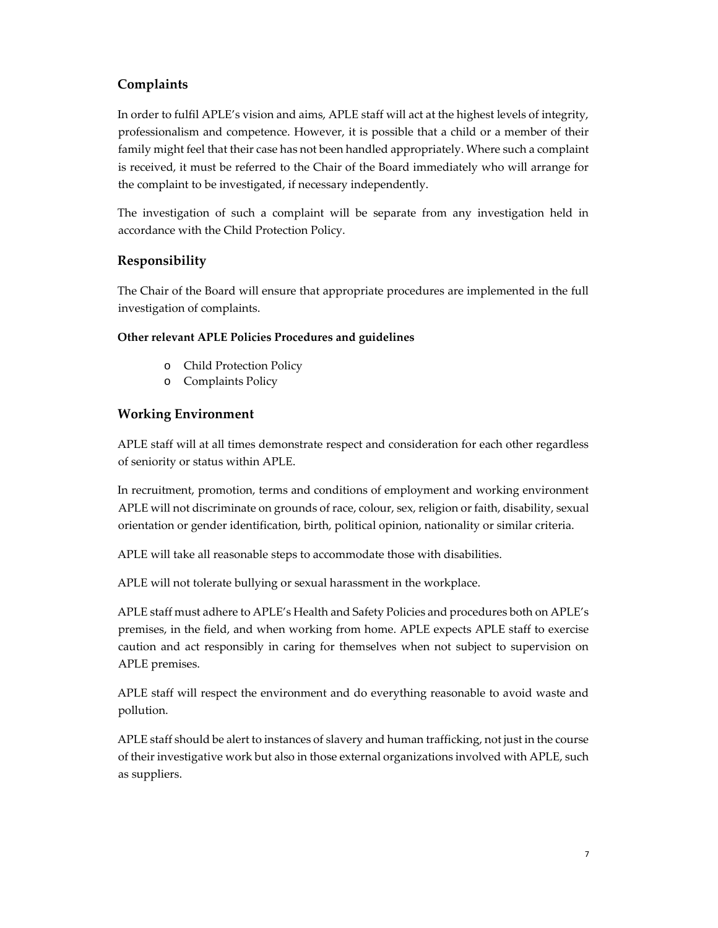## **Complaints**

In order to fulfil APLE's vision and aims, APLE staff will act at the highest levels of integrity, professionalism and competence. However, it is possible that a child or a member of their family might feel that their case has not been handled appropriately. Where such a complaint is received, it must be referred to the Chair of the Board immediately who will arrange for the complaint to be investigated, if necessary independently.

The investigation of such a complaint will be separate from any investigation held in accordance with the Child Protection Policy.

# **Responsibility**

The Chair of the Board will ensure that appropriate procedures are implemented in the full investigation of complaints.

#### **Other relevant APLE Policies Procedures and guidelines**

- o Child Protection Policy
- o Complaints Policy

## **Working Environment**

APLE staff will at all times demonstrate respect and consideration for each other regardless of seniority or status within APLE.

In recruitment, promotion, terms and conditions of employment and working environment APLE will not discriminate on grounds of race, colour, sex, religion or faith, disability, sexual orientation or gender identification, birth, political opinion, nationality or similar criteria.

APLE will take all reasonable steps to accommodate those with disabilities.

APLE will not tolerate bullying or sexual harassment in the workplace.

APLE staff must adhere to APLE's Health and Safety Policies and procedures both on APLE's premises, in the field, and when working from home. APLE expects APLE staff to exercise caution and act responsibly in caring for themselves when not subject to supervision on APLE premises.

APLE staff will respect the environment and do everything reasonable to avoid waste and pollution.

APLE staff should be alert to instances of slavery and human trafficking, not just in the course of their investigative work but also in those external organizations involved with APLE, such as suppliers.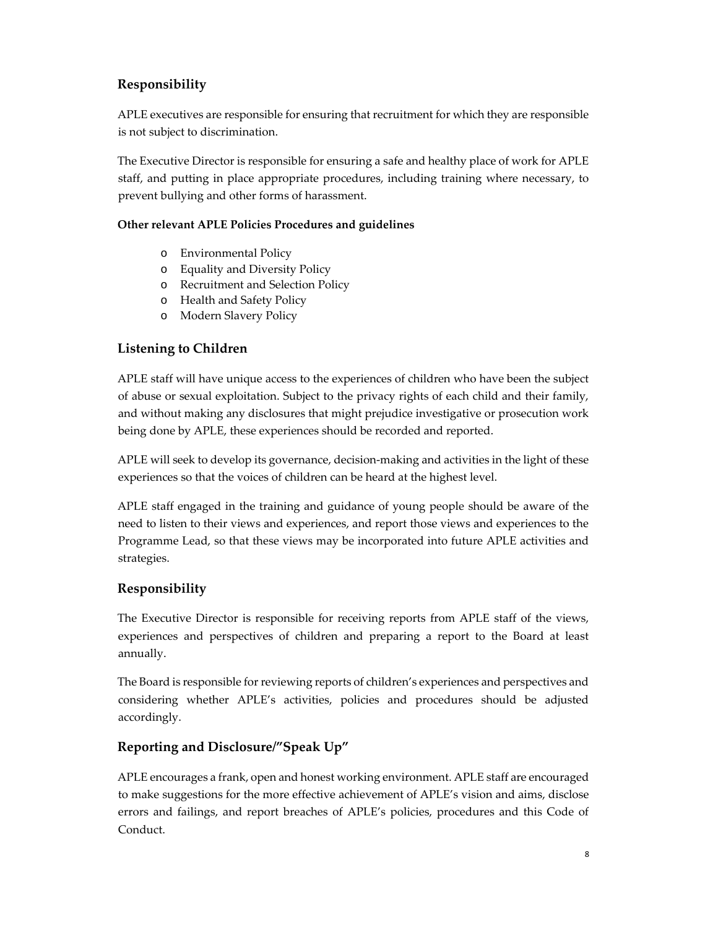# **Responsibility**

APLE executives are responsible for ensuring that recruitment for which they are responsible is not subject to discrimination.

The Executive Director is responsible for ensuring a safe and healthy place of work for APLE staff, and putting in place appropriate procedures, including training where necessary, to prevent bullying and other forms of harassment.

#### **Other relevant APLE Policies Procedures and guidelines**

- o Environmental Policy
- o Equality and Diversity Policy
- o Recruitment and Selection Policy
- o Health and Safety Policy
- o Modern Slavery Policy

## **Listening to Children**

APLE staff will have unique access to the experiences of children who have been the subject of abuse or sexual exploitation. Subject to the privacy rights of each child and their family, and without making any disclosures that might prejudice investigative or prosecution work being done by APLE, these experiences should be recorded and reported.

APLE will seek to develop its governance, decision-making and activities in the light of these experiences so that the voices of children can be heard at the highest level.

APLE staff engaged in the training and guidance of young people should be aware of the need to listen to their views and experiences, and report those views and experiences to the Programme Lead, so that these views may be incorporated into future APLE activities and strategies.

## **Responsibility**

The Executive Director is responsible for receiving reports from APLE staff of the views, experiences and perspectives of children and preparing a report to the Board at least annually.

The Board is responsible for reviewing reports of children's experiences and perspectives and considering whether APLE's activities, policies and procedures should be adjusted accordingly.

## **Reporting and Disclosure/"Speak Up"**

APLE encourages a frank, open and honest working environment. APLE staff are encouraged to make suggestions for the more effective achievement of APLE's vision and aims, disclose errors and failings, and report breaches of APLE's policies, procedures and this Code of Conduct.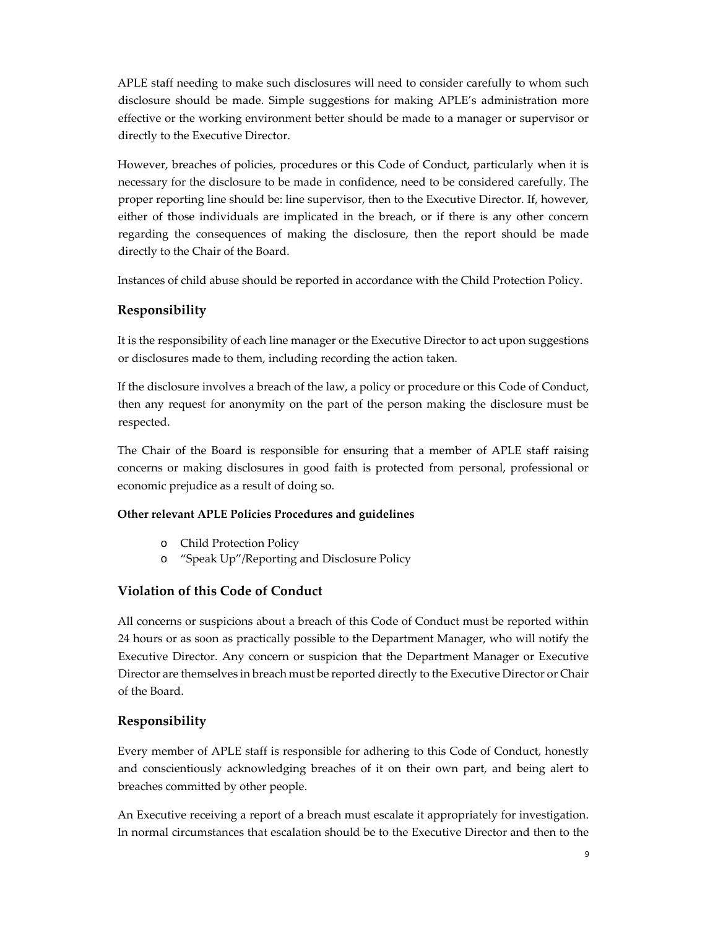APLE staff needing to make such disclosures will need to consider carefully to whom such disclosure should be made. Simple suggestions for making APLE's administration more effective or the working environment better should be made to a manager or supervisor or directly to the Executive Director.

However, breaches of policies, procedures or this Code of Conduct, particularly when it is necessary for the disclosure to be made in confidence, need to be considered carefully. The proper reporting line should be: line supervisor, then to the Executive Director. If, however, either of those individuals are implicated in the breach, or if there is any other concern regarding the consequences of making the disclosure, then the report should be made directly to the Chair of the Board.

Instances of child abuse should be reported in accordance with the Child Protection Policy.

#### **Responsibility**

It is the responsibility of each line manager or the Executive Director to act upon suggestions or disclosures made to them, including recording the action taken.

If the disclosure involves a breach of the law, a policy or procedure or this Code of Conduct, then any request for anonymity on the part of the person making the disclosure must be respected.

The Chair of the Board is responsible for ensuring that a member of APLE staff raising concerns or making disclosures in good faith is protected from personal, professional or economic prejudice as a result of doing so.

#### **Other relevant APLE Policies Procedures and guidelines**

- o Child Protection Policy
- o "Speak Up"/Reporting and Disclosure Policy

#### **Violation of this Code of Conduct**

All concerns or suspicions about a breach of this Code of Conduct must be reported within 24 hours or as soon as practically possible to the Department Manager, who will notify the Executive Director. Any concern or suspicion that the Department Manager or Executive Director are themselves in breach must be reported directly to the Executive Director or Chair of the Board.

#### **Responsibility**

Every member of APLE staff is responsible for adhering to this Code of Conduct, honestly and conscientiously acknowledging breaches of it on their own part, and being alert to breaches committed by other people.

An Executive receiving a report of a breach must escalate it appropriately for investigation. In normal circumstances that escalation should be to the Executive Director and then to the